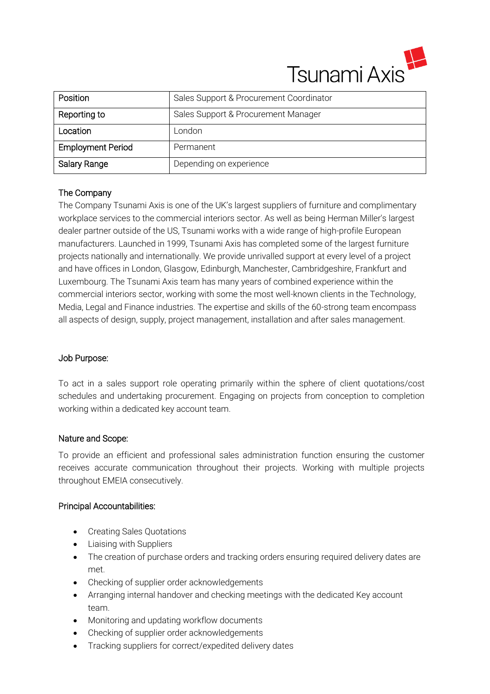

| Position                 | Sales Support & Procurement Coordinator |
|--------------------------|-----------------------------------------|
| Reporting to             | Sales Support & Procurement Manager     |
| Location                 | London                                  |
| <b>Employment Period</b> | Permanent                               |
| Salary Range             | Depending on experience                 |

# The Company

The Company Tsunami Axis is one of the UK's largest suppliers of furniture and complimentary workplace services to the commercial interiors sector. As well as being Herman Miller's largest dealer partner outside of the US, Tsunami works with a wide range of high-profile European manufacturers. Launched in 1999, Tsunami Axis has completed some of the largest furniture projects nationally and internationally. We provide unrivalled support at every level of a project and have offices in London, Glasgow, Edinburgh, Manchester, Cambridgeshire, Frankfurt and Luxembourg. The Tsunami Axis team has many years of combined experience within the commercial interiors sector, working with some the most well-known clients in the Technology, Media, Legal and Finance industries. The expertise and skills of the 60-strong team encompass all aspects of design, supply, project management, installation and after sales management.

### Job Purpose:

To act in a sales support role operating primarily within the sphere of client quotations/cost schedules and undertaking procurement. Engaging on projects from conception to completion working within a dedicated key account team.

### Nature and Scope:

To provide an efficient and professional sales administration function ensuring the customer receives accurate communication throughout their projects. Working with multiple projects throughout EMEIA consecutively.

### Principal Accountabilities:

- Creating Sales Quotations
- Liaising with Suppliers
- The creation of purchase orders and tracking orders ensuring required delivery dates are met.
- Checking of supplier order acknowledgements
- Arranging internal handover and checking meetings with the dedicated Key account team.
- Monitoring and updating workflow documents
- Checking of supplier order acknowledgements
- Tracking suppliers for correct/expedited delivery dates